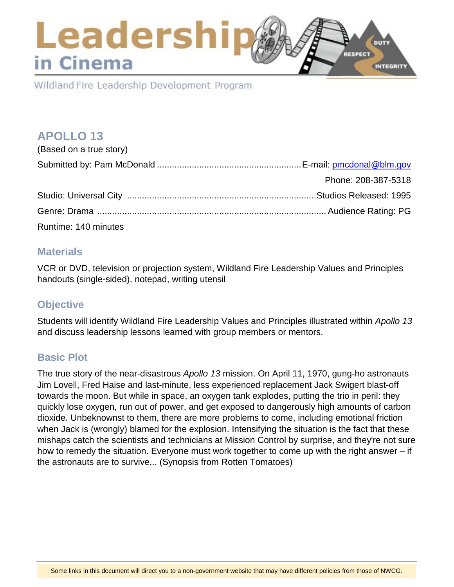## Leadership DUTY **RESPECT** in Cinema INTEGRITY

Wildland Fire Leadership Development Program

# **APOLLO 13**

| (Based on a true story) |                     |
|-------------------------|---------------------|
|                         |                     |
|                         | Phone: 208-387-5318 |
|                         |                     |
|                         |                     |
| Runtime: 140 minutes    |                     |

### **Materials**

VCR or DVD, television or projection system, Wildland Fire Leadership Values and Principles handouts (single-sided), notepad, writing utensil

## **Objective**

Students will identify Wildland Fire Leadership Values and Principles illustrated within *Apollo 13* and discuss leadership lessons learned with group members or mentors.

## **Basic Plot**

The true story of the near-disastrous *Apollo 13* mission. On April 11, 1970, gung-ho astronauts Jim Lovell, Fred Haise and last-minute, less experienced replacement Jack Swigert blast-off towards the moon. But while in space, an oxygen tank explodes, putting the trio in peril: they quickly lose oxygen, run out of power, and get exposed to dangerously high amounts of carbon dioxide. Unbeknownst to them, there are more problems to come, including emotional friction when Jack is (wrongly) blamed for the explosion. Intensifying the situation is the fact that these mishaps catch the scientists and technicians at Mission Control by surprise, and they're not sure how to remedy the situation. Everyone must work together to come up with the right answer – if the astronauts are to survive... (Synopsis from Rotten Tomatoes)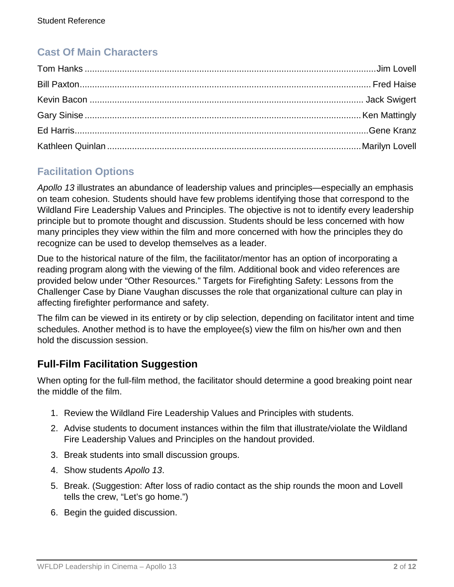# **Cast Of Main Characters**

# **Facilitation Options**

*Apollo 13* illustrates an abundance of leadership values and principles—especially an emphasis on team cohesion. Students should have few problems identifying those that correspond to the Wildland Fire Leadership Values and Principles. The objective is not to identify every leadership principle but to promote thought and discussion. Students should be less concerned with how many principles they view within the film and more concerned with how the principles they do recognize can be used to develop themselves as a leader.

Due to the historical nature of the film, the facilitator/mentor has an option of incorporating a reading program along with the viewing of the film. Additional book and video references are provided below under "Other Resources." Targets for Firefighting Safety: Lessons from the Challenger Case by Diane Vaughan discusses the role that organizational culture can play in affecting firefighter performance and safety.

The film can be viewed in its entirety or by clip selection, depending on facilitator intent and time schedules. Another method is to have the employee(s) view the film on his/her own and then hold the discussion session.

## **Full-Film Facilitation Suggestion**

When opting for the full-film method, the facilitator should determine a good breaking point near the middle of the film.

- 1. Review the Wildland Fire Leadership Values and Principles with students.
- 2. Advise students to document instances within the film that illustrate/violate the Wildland Fire Leadership Values and Principles on the handout provided.
- 3. Break students into small discussion groups.
- 4. Show students *Apollo 13*.
- 5. Break. (Suggestion: After loss of radio contact as the ship rounds the moon and Lovell tells the crew, "Let's go home.")
- 6. Begin the guided discussion.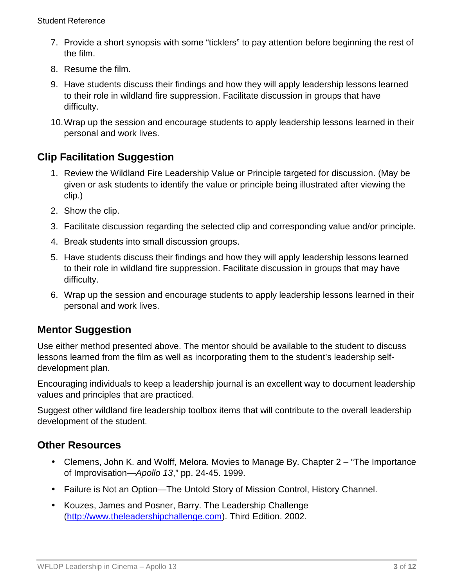- 7. Provide a short synopsis with some "ticklers" to pay attention before beginning the rest of the film.
- 8. Resume the film.
- 9. Have students discuss their findings and how they will apply leadership lessons learned to their role in wildland fire suppression. Facilitate discussion in groups that have difficulty.
- 10.Wrap up the session and encourage students to apply leadership lessons learned in their personal and work lives.

## **Clip Facilitation Suggestion**

- 1. Review the Wildland Fire Leadership Value or Principle targeted for discussion. (May be given or ask students to identify the value or principle being illustrated after viewing the clip.)
- 2. Show the clip.
- 3. Facilitate discussion regarding the selected clip and corresponding value and/or principle.
- 4. Break students into small discussion groups.
- 5. Have students discuss their findings and how they will apply leadership lessons learned to their role in wildland fire suppression. Facilitate discussion in groups that may have difficulty.
- 6. Wrap up the session and encourage students to apply leadership lessons learned in their personal and work lives.

## **Mentor Suggestion**

Use either method presented above. The mentor should be available to the student to discuss lessons learned from the film as well as incorporating them to the student's leadership selfdevelopment plan.

Encouraging individuals to keep a leadership journal is an excellent way to document leadership values and principles that are practiced.

Suggest other wildland fire leadership toolbox items that will contribute to the overall leadership development of the student.

## **Other Resources**

- Clemens, John K. and Wolff, Melora. Movies to Manage By. Chapter 2 "The Importance of Improvisation—*Apollo 13*," pp. 24-45. 1999.
- Failure is Not an Option—The Untold Story of Mission Control, History Channel.
- Kouzes, James and Posner, Barry. The Leadership Challenge [\(http://www.theleadershipchallenge.com\)](http://www.theleadershipchallenge.com/). Third Edition. 2002.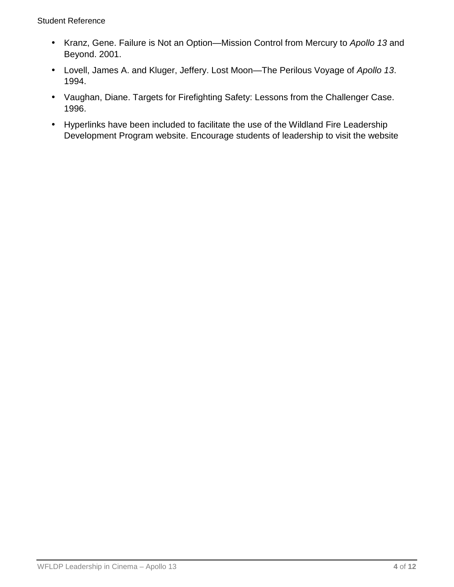- Kranz, Gene. Failure is Not an Option—Mission Control from Mercury to *Apollo 13* and Beyond. 2001.
- Lovell, James A. and Kluger, Jeffery. Lost Moon—The Perilous Voyage of *Apollo 13*. 1994.
- Vaughan, Diane. Targets for Firefighting Safety: Lessons from the Challenger Case. 1996.
- Hyperlinks have been included to facilitate the use of the Wildland Fire Leadership Development Program website. Encourage students of leadership to visit the website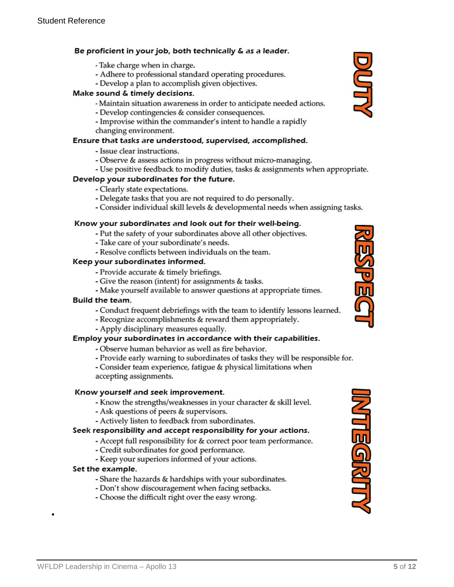#### Be proficient in your job, both technically & as a leader.

- Take charge when in charge.
- Adhere to professional standard operating procedures.
- Develop a plan to accomplish given objectives.

#### Make sound & timely decisions.

- Maintain situation awareness in order to anticipate needed actions.
- Develop contingencies & consider consequences.
- Improvise within the commander's intent to handle a rapidly
- changing environment.

#### Ensure that tasks are understood, supervised, accomplished.

- Issue clear instructions.
- Observe & assess actions in progress without micro-managing.
- Use positive feedback to modify duties, tasks & assignments when appropriate.

#### Develop your subordinates for the future.

- Clearly state expectations.
- Delegate tasks that you are not required to do personally.
- Consider individual skill levels & developmental needs when assigning tasks.

#### Know your subordinates and look out for their well-being.

- Put the safety of your subordinates above all other objectives.
- Take care of your subordinate's needs.
- Resolve conflicts between individuals on the team.

#### Keep your subordinates informed.

- Provide accurate & timely briefings.
- Give the reason (intent) for assignments & tasks.
- Make yourself available to answer questions at appropriate times.

#### Build the team.

- Conduct frequent debriefings with the team to identify lessons learned.
- Recognize accomplishments & reward them appropriately.
- Apply disciplinary measures equally.

#### Employ your subordinates in accordance with their capabilities.

- Observe human behavior as well as fire behavior.
- Provide early warning to subordinates of tasks they will be responsible for.

WFLDP Leadership in Cinema – Apollo 13 **5** of **12 5** of **12** 

- Consider team experience, fatigue & physical limitations when accepting assignments.

#### Know yourself and seek improvement.

- Know the strengths/weaknesses in your character & skill level.
- Ask questions of peers & supervisors.
- Actively listen to feedback from subordinates.

#### Seek responsibility and accept responsibility for your actions.

- Accept full responsibility for & correct poor team performance.
- Credit subordinates for good performance.
- Keep your superiors informed of your actions.

#### Set the example.

•

- Share the hazards & hardships with your subordinates.
- Don't show discouragement when facing setbacks.
- Choose the difficult right over the easy wrong.





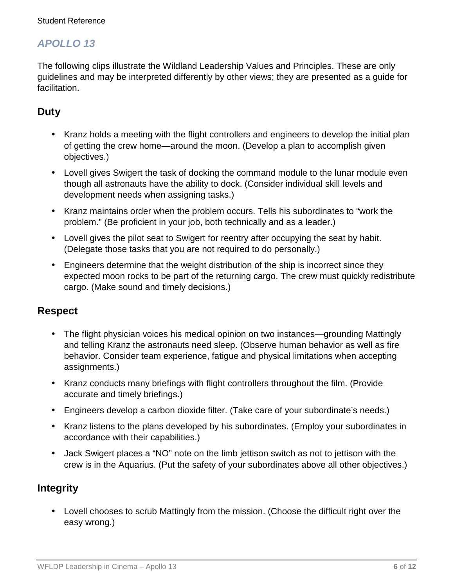## *APOLLO 13*

The following clips illustrate the Wildland Leadership Values and Principles. These are only guidelines and may be interpreted differently by other views; they are presented as a guide for facilitation.

## **Duty**

- Kranz holds a meeting with the flight controllers and engineers to develop the initial plan of getting the crew home—around the moon. (Develop a plan to accomplish given objectives.)
- Lovell gives Swigert the task of docking the command module to the lunar module even though all astronauts have the ability to dock. (Consider individual skill levels and development needs when assigning tasks.)
- Kranz maintains order when the problem occurs. Tells his subordinates to "work the problem." (Be proficient in your job, both technically and as a leader.)
- Lovell gives the pilot seat to Swigert for reentry after occupying the seat by habit. (Delegate those tasks that you are not required to do personally.)
- Engineers determine that the weight distribution of the ship is incorrect since they expected moon rocks to be part of the returning cargo. The crew must quickly redistribute cargo. (Make sound and timely decisions.)

### **Respect**

- The flight physician voices his medical opinion on two instances—grounding Mattingly and telling Kranz the astronauts need sleep. (Observe human behavior as well as fire behavior. Consider team experience, fatigue and physical limitations when accepting assignments.)
- Kranz conducts many briefings with flight controllers throughout the film. (Provide accurate and timely briefings.)
- Engineers develop a carbon dioxide filter. (Take care of your subordinate's needs.)
- Kranz listens to the plans developed by his subordinates. (Employ your subordinates in accordance with their capabilities.)
- Jack Swigert places a "NO" note on the limb jettison switch as not to jettison with the crew is in the Aquarius. (Put the safety of your subordinates above all other objectives.)

## **Integrity**

• Lovell chooses to scrub Mattingly from the mission. (Choose the difficult right over the easy wrong.)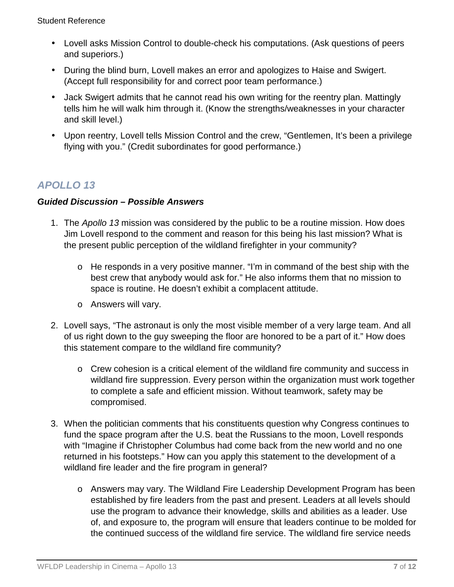- Lovell asks Mission Control to double-check his computations. (Ask questions of peers and superiors.)
- During the blind burn, Lovell makes an error and apologizes to Haise and Swigert. (Accept full responsibility for and correct poor team performance.)
- Jack Swigert admits that he cannot read his own writing for the reentry plan. Mattingly tells him he will walk him through it. (Know the strengths/weaknesses in your character and skill level.)
- Upon reentry, Lovell tells Mission Control and the crew, "Gentlemen, It's been a privilege flying with you." (Credit subordinates for good performance.)

# *APOLLO 13*

### *Guided Discussion – Possible Answers*

- 1. The *Apollo 13* mission was considered by the public to be a routine mission. How does Jim Lovell respond to the comment and reason for this being his last mission? What is the present public perception of the wildland firefighter in your community?
	- o He responds in a very positive manner. "I'm in command of the best ship with the best crew that anybody would ask for." He also informs them that no mission to space is routine. He doesn't exhibit a complacent attitude.
	- o Answers will vary.
- 2. Lovell says, "The astronaut is only the most visible member of a very large team. And all of us right down to the guy sweeping the floor are honored to be a part of it." How does this statement compare to the wildland fire community?
	- o Crew cohesion is a critical element of the wildland fire community and success in wildland fire suppression. Every person within the organization must work together to complete a safe and efficient mission. Without teamwork, safety may be compromised.
- 3. When the politician comments that his constituents question why Congress continues to fund the space program after the U.S. beat the Russians to the moon, Lovell responds with "Imagine if Christopher Columbus had come back from the new world and no one returned in his footsteps." How can you apply this statement to the development of a wildland fire leader and the fire program in general?
	- o Answers may vary. The Wildland Fire Leadership Development Program has been established by fire leaders from the past and present. Leaders at all levels should use the program to advance their knowledge, skills and abilities as a leader. Use of, and exposure to, the program will ensure that leaders continue to be molded for the continued success of the wildland fire service. The wildland fire service needs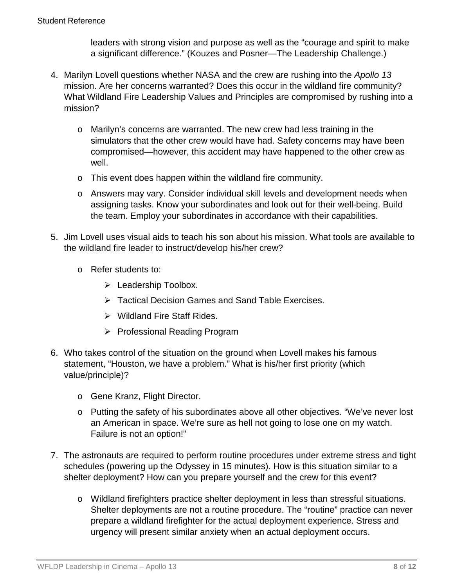leaders with strong vision and purpose as well as the "courage and spirit to make a significant difference." (Kouzes and Posner—The Leadership Challenge.)

- 4. Marilyn Lovell questions whether NASA and the crew are rushing into the *Apollo 13* mission. Are her concerns warranted? Does this occur in the wildland fire community? What Wildland Fire Leadership Values and Principles are compromised by rushing into a mission?
	- o Marilyn's concerns are warranted. The new crew had less training in the simulators that the other crew would have had. Safety concerns may have been compromised—however, this accident may have happened to the other crew as well.
	- o This event does happen within the wildland fire community.
	- o Answers may vary. Consider individual skill levels and development needs when assigning tasks. Know your subordinates and look out for their well-being. Build the team. Employ your subordinates in accordance with their capabilities.
- 5. Jim Lovell uses visual aids to teach his son about his mission. What tools are available to the wildland fire leader to instruct/develop his/her crew?
	- o Refer students to:
		- Eeadership Toolbox.
		- Tactical Decision Games and Sand Table Exercises.
		- $\triangleright$  Wildland Fire Staff Rides.
		- ▶ Professional Reading Program
- 6. Who takes control of the situation on the ground when Lovell makes his famous statement, "Houston, we have a problem." What is his/her first priority (which value/principle)?
	- o Gene Kranz, Flight Director.
	- o Putting the safety of his subordinates above all other objectives. "We've never lost an American in space. We're sure as hell not going to lose one on my watch. Failure is not an option!"
- 7. The astronauts are required to perform routine procedures under extreme stress and tight schedules (powering up the Odyssey in 15 minutes). How is this situation similar to a shelter deployment? How can you prepare yourself and the crew for this event?
	- o Wildland firefighters practice shelter deployment in less than stressful situations. Shelter deployments are not a routine procedure. The "routine" practice can never prepare a wildland firefighter for the actual deployment experience. Stress and urgency will present similar anxiety when an actual deployment occurs.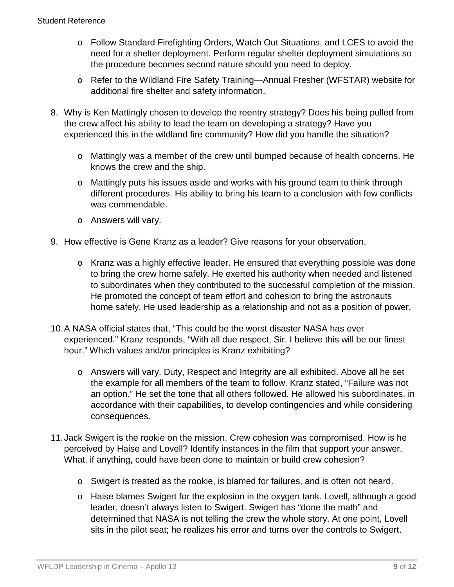- o Follow Standard Firefighting Orders, Watch Out Situations, and LCES to avoid the need for a shelter deployment. Perform regular shelter deployment simulations so the procedure becomes second nature should you need to deploy.
- o Refer to the Wildland Fire Safety Training—Annual Fresher (WFSTAR) website for additional fire shelter and safety information.
- 8. Why is Ken Mattingly chosen to develop the reentry strategy? Does his being pulled from the crew affect his ability to lead the team on developing a strategy? Have you experienced this in the wildland fire community? How did you handle the situation?
	- o Mattingly was a member of the crew until bumped because of health concerns. He knows the crew and the ship.
	- o Mattingly puts his issues aside and works with his ground team to think through different procedures. His ability to bring his team to a conclusion with few conflicts was commendable.
	- o Answers will vary.
- 9. How effective is Gene Kranz as a leader? Give reasons for your observation.
	- o Kranz was a highly effective leader. He ensured that everything possible was done to bring the crew home safely. He exerted his authority when needed and listened to subordinates when they contributed to the successful completion of the mission. He promoted the concept of team effort and cohesion to bring the astronauts home safely. He used leadership as a relationship and not as a position of power.
- 10.A NASA official states that, "This could be the worst disaster NASA has ever experienced." Kranz responds, "With all due respect, Sir. I believe this will be our finest hour." Which values and/or principles is Kranz exhibiting?
	- o Answers will vary. Duty, Respect and Integrity are all exhibited. Above all he set the example for all members of the team to follow. Kranz stated, "Failure was not an option." He set the tone that all others followed. He allowed his subordinates, in accordance with their capabilities, to develop contingencies and while considering consequences.
- 11.Jack Swigert is the rookie on the mission. Crew cohesion was compromised. How is he perceived by Haise and Lovell? Identify instances in the film that support your answer. What, if anything, could have been done to maintain or build crew cohesion?
	- o Swigert is treated as the rookie, is blamed for failures, and is often not heard.
	- o Haise blames Swigert for the explosion in the oxygen tank. Lovell, although a good leader, doesn't always listen to Swigert. Swigert has "done the math" and determined that NASA is not telling the crew the whole story. At one point, Lovell sits in the pilot seat; he realizes his error and turns over the controls to Swigert.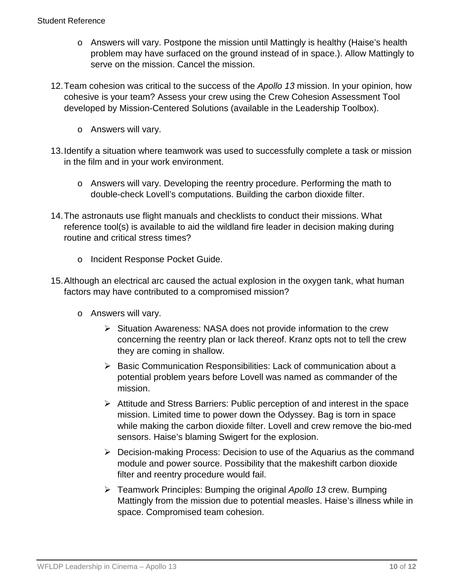- o Answers will vary. Postpone the mission until Mattingly is healthy (Haise's health problem may have surfaced on the ground instead of in space.). Allow Mattingly to serve on the mission. Cancel the mission.
- 12.Team cohesion was critical to the success of the *Apollo 13* mission. In your opinion, how cohesive is your team? Assess your crew using the Crew Cohesion Assessment Tool developed by Mission-Centered Solutions (available in the Leadership Toolbox).
	- o Answers will vary.
- 13.Identify a situation where teamwork was used to successfully complete a task or mission in the film and in your work environment.
	- o Answers will vary. Developing the reentry procedure. Performing the math to double-check Lovell's computations. Building the carbon dioxide filter.
- 14.The astronauts use flight manuals and checklists to conduct their missions. What reference tool(s) is available to aid the wildland fire leader in decision making during routine and critical stress times?
	- o Incident Response Pocket Guide.
- 15.Although an electrical arc caused the actual explosion in the oxygen tank, what human factors may have contributed to a compromised mission?
	- o Answers will vary.
		- $\triangleright$  Situation Awareness: NASA does not provide information to the crew concerning the reentry plan or lack thereof. Kranz opts not to tell the crew they are coming in shallow.
		- $\triangleright$  Basic Communication Responsibilities: Lack of communication about a potential problem years before Lovell was named as commander of the mission.
		- Attitude and Stress Barriers: Public perception of and interest in the space mission. Limited time to power down the Odyssey. Bag is torn in space while making the carbon dioxide filter. Lovell and crew remove the bio-med sensors. Haise's blaming Swigert for the explosion.
		- Decision-making Process: Decision to use of the Aquarius as the command module and power source. Possibility that the makeshift carbon dioxide filter and reentry procedure would fail.
		- Teamwork Principles: Bumping the original *Apollo 13* crew. Bumping Mattingly from the mission due to potential measles. Haise's illness while in space. Compromised team cohesion.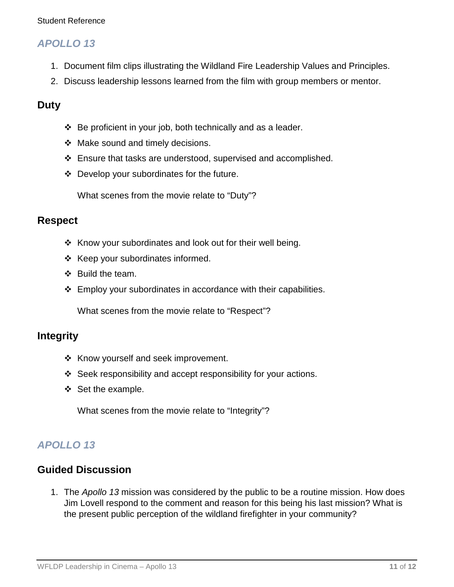#### Student Reference

### *APOLLO 13*

- 1. Document film clips illustrating the Wildland Fire Leadership Values and Principles.
- 2. Discuss leadership lessons learned from the film with group members or mentor.

### **Duty**

- Be proficient in your job, both technically and as a leader.
- $\div$  Make sound and timely decisions.
- Ensure that tasks are understood, supervised and accomplished.
- $\div$  Develop your subordinates for the future.

What scenes from the movie relate to "Duty"?

### **Respect**

- $\div$  Know your subordinates and look out for their well being.
- $\div$  Keep your subordinates informed.
- $\div$  Build the team.
- Employ your subordinates in accordance with their capabilities.

What scenes from the movie relate to "Respect"?

### **Integrity**

- $\triangleleft$  Know yourself and seek improvement.
- Seek responsibility and accept responsibility for your actions.
- $\div$  Set the example.

What scenes from the movie relate to "Integrity"?

## *APOLLO 13*

### **Guided Discussion**

1. The *Apollo 13* mission was considered by the public to be a routine mission. How does Jim Lovell respond to the comment and reason for this being his last mission? What is the present public perception of the wildland firefighter in your community?